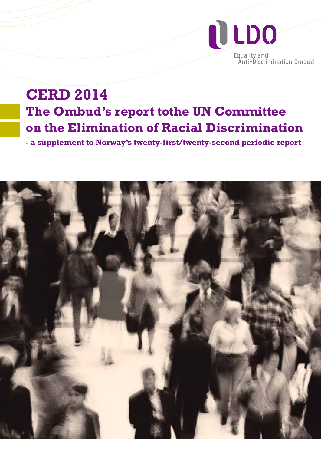

# **CERD 2014 The Ombud's report tothe UN Committee on the Elimination of Racial Discrimination**

**- a supplement to Norway's twenty-first/twenty-second periodic report**

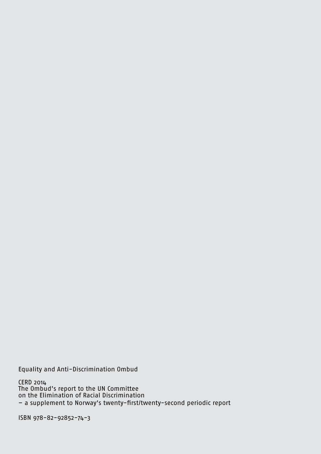Equality and Anti-Discrimination Ombud

CERD 2014 The Ombud's report to the UN Committee on the Elimination of Racial Discrimination – a supplement to Norway's twenty-first/twenty-second periodic report

ISBN 978-82-92852-74-3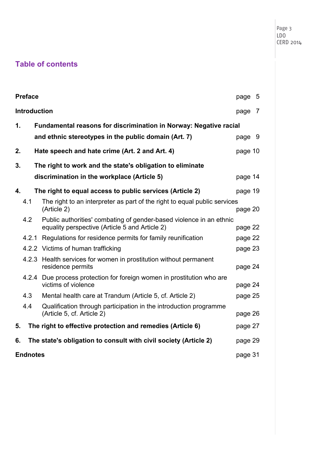#### Page 3 LDO CERD 2014

# **Table of contents**

| <b>Preface</b>             |       |  |                                                                                                                       |         |  |  |  |  |
|----------------------------|-------|--|-----------------------------------------------------------------------------------------------------------------------|---------|--|--|--|--|
| <b>Introduction</b>        |       |  |                                                                                                                       |         |  |  |  |  |
| 1.                         |       |  | <b>Fundamental reasons for discrimination in Norway: Negative racial</b>                                              |         |  |  |  |  |
|                            |       |  | and ethnic stereotypes in the public domain (Art. 7)                                                                  | page 9  |  |  |  |  |
| 2.                         |       |  | Hate speech and hate crime (Art. 2 and Art. 4)                                                                        | page 10 |  |  |  |  |
| 3.                         |       |  | The right to work and the state's obligation to eliminate                                                             |         |  |  |  |  |
|                            |       |  | discrimination in the workplace (Article 5)                                                                           | page 14 |  |  |  |  |
| 4.                         |       |  | The right to equal access to public services (Article 2)                                                              | page 19 |  |  |  |  |
|                            | 4.1   |  | The right to an interpreter as part of the right to equal public services<br>(Article 2)                              | page 20 |  |  |  |  |
|                            | 4.2   |  | Public authorities' combating of gender-based violence in an ethnic<br>equality perspective (Article 5 and Article 2) | page 22 |  |  |  |  |
|                            | 4.2.1 |  | Regulations for residence permits for family reunification                                                            | page 22 |  |  |  |  |
|                            |       |  | 4.2.2 Victims of human trafficking                                                                                    | page 23 |  |  |  |  |
|                            | 4.2.3 |  | Health services for women in prostitution without permanent<br>residence permits                                      | page 24 |  |  |  |  |
|                            | 4.2.4 |  | Due process protection for foreign women in prostitution who are<br>victims of violence                               | page 24 |  |  |  |  |
|                            | 4.3   |  | Mental health care at Trandum (Article 5, cf. Article 2)                                                              | page 25 |  |  |  |  |
|                            | 4.4   |  | Qualification through participation in the introduction programme<br>(Article 5, cf. Article 2)                       | page 26 |  |  |  |  |
| 5.                         |       |  | The right to effective protection and remedies (Article 6)                                                            | page 27 |  |  |  |  |
| 6.                         |       |  | The state's obligation to consult with civil society (Article 2)                                                      | page 29 |  |  |  |  |
| <b>Endnotes</b><br>page 31 |       |  |                                                                                                                       |         |  |  |  |  |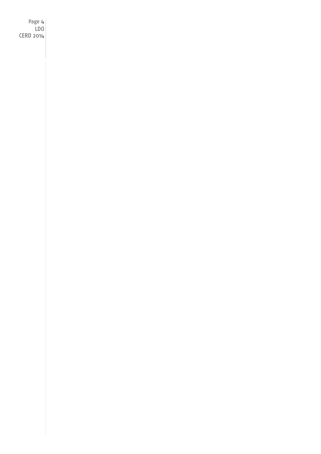| Page 4          |  |
|-----------------|--|
| LD <sub>0</sub> |  |
| CERD 2014       |  |
|                 |  |
|                 |  |
|                 |  |
|                 |  |
|                 |  |
|                 |  |
|                 |  |
|                 |  |
|                 |  |
|                 |  |
|                 |  |
|                 |  |
|                 |  |
|                 |  |
|                 |  |
|                 |  |
|                 |  |
|                 |  |
|                 |  |
|                 |  |
|                 |  |
|                 |  |
|                 |  |
|                 |  |
|                 |  |
|                 |  |
|                 |  |
|                 |  |
|                 |  |
|                 |  |
|                 |  |
|                 |  |
|                 |  |
|                 |  |
|                 |  |
|                 |  |
|                 |  |
|                 |  |
|                 |  |
|                 |  |
|                 |  |
|                 |  |
|                 |  |
|                 |  |
|                 |  |
|                 |  |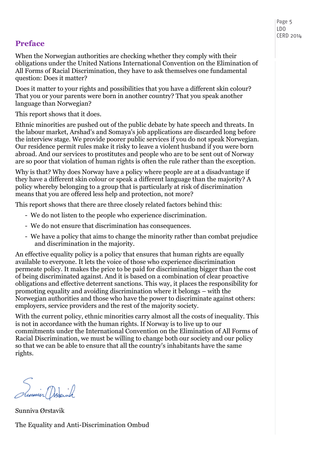Page 5 LDO CERD 2014

# **Preface**

When the Norwegian authorities are checking whether they comply with their obligations under the United Nations International Convention on the Elimination of All Forms of Racial Discrimination, they have to ask themselves one fundamental question: Does it matter?

Does it matter to your rights and possibilities that you have a different skin colour? That you or your parents were born in another country? That you speak another language than Norwegian?

This report shows that it does.

Ethnic minorities are pushed out of the public debate by hate speech and threats. In the labour market, Arshad's and Somaya's job applications are discarded long before the interview stage. We provide poorer public services if you do not speak Norwegian. Our residence permit rules make it risky to leave a violent husband if you were born abroad. And our services to prostitutes and people who are to be sent out of Norway are so poor that violation of human rights is often the rule rather than the exception.

Why is that? Why does Norway have a policy where people are at a disadvantage if they have a different skin colour or speak a different language than the majority? A policy whereby belonging to a group that is particularly at risk of discrimination means that you are offered less help and protection, not more?

This report shows that there are three closely related factors behind this:

- We do not listen to the people who experience discrimination.
- We do not ensure that discrimination has consequences.
- We have a policy that aims to change the minority rather than combat prejudice and discrimination in the majority.

An effective equality policy is a policy that ensures that human rights are equally available to everyone. It lets the voice of those who experience discrimination permeate policy. It makes the price to be paid for discriminating bigger than the cost of being discriminated against. And it is based on a combination of clear proactive obligations and effective deterrent sanctions. This way, it places the responsibility for promoting equality and avoiding discrimination where it belongs – with the Norwegian authorities and those who have the power to discriminate against others: employers, service providers and the rest of the majority society.

With the current policy, ethnic minorities carry almost all the costs of inequality. This is not in accordance with the human rights. If Norway is to live up to our commitments under the International Convention on the Elimination of All Forms of Racial Discrimination, we must be willing to change both our society and our policy so that we can be able to ensure that all the country's inhabitants have the same rights.

 $\sum_{m}$ Orionne (Asteruk

Sunniva Ørstavik The Equality and Anti-Discrimination Ombud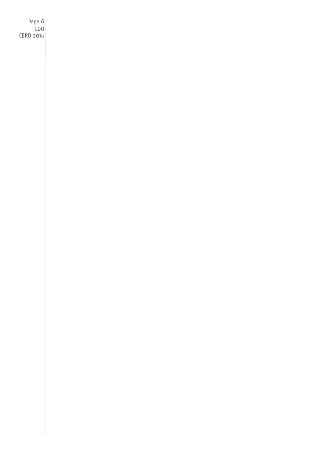Page 6 LDO CERD 2014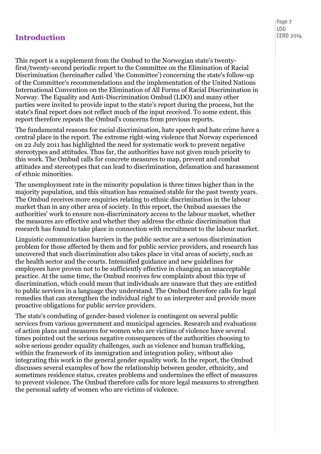# **Introduction**

This report is a supplement from the Ombud to the Norwegian state's twentyfirst/twenty-second periodic report to the Committee on the Elimination of Racial Discrimination (hereinafter called 'the Committee') concerning the state's follow-up of the Committee's recommendations and the implementation of the United Nations International Convention on the Elimination of All Forms of Racial Discrimination in Norway. The Equality and Anti-Discrimination Ombud (LDO) and many other parties were invited to provide input to the state's report during the process, but the state's final report does not reflect much of the input received. To some extent, this report therefore repeats the Ombud's concerns from previous reports.

The fundamental reasons for racial discrimination, hate speech and hate crime have a central place in the report. The extreme right-wing violence that Norway experienced on 22 July 2011 has highlighted the need for systematic work to prevent negative stereotypes and attitudes. Thus far, the authorities have not given much priority to this work. The Ombud calls for concrete measures to map, prevent and combat attitudes and stereotypes that can lead to discrimination, defamation and harassment of ethnic minorities.

The unemployment rate in the minority population is three times higher than in the majority population, and this situation has remained stable for the past twenty years. The Ombud receives more enquiries relating to ethnic discrimination in the labour market than in any other area of society. In this report, the Ombud assesses the authorities' work to ensure non-discriminatory access to the labour market, whether the measures are effective and whether they address the ethnic discrimination that research has found to take place in connection with recruitment to the labour market.

Linguistic communication barriers in the public sector are a serious discrimination problem for those affected by them and for public service providers, and research has uncovered that such discrimination also takes place in vital areas of society, such as the health sector and the courts. Intensified guidance and new guidelines for employees have proven not to be sufficiently effective in changing an unacceptable practice. At the same time, the Ombud receives few complaints about this type of discrimination, which could mean that individuals are unaware that they are entitled to public services in a language they understand. The Ombud therefore calls for legal remedies that can strengthen the individual right to an interpreter and provide more proactive obligations for public service providers.

The state's combating of gender-based violence is contingent on several public services from various government and municipal agencies. Research and evaluations of action plans and measures for women who are victims of violence have several times pointed out the serious negative consequences of the authorities choosing to solve serious gender equality challenges, such as violence and human trafficking, within the framework of its immigration and integration policy, without also integrating this work in the general gender equality work. In the report, the Ombud discusses several examples of how the relationship between gender, ethnicity, and sometimes residence status, creates problems and undermines the effect of measures to prevent violence. The Ombud therefore calls for more legal measures to strengthen the personal safety of women who are victims of violence.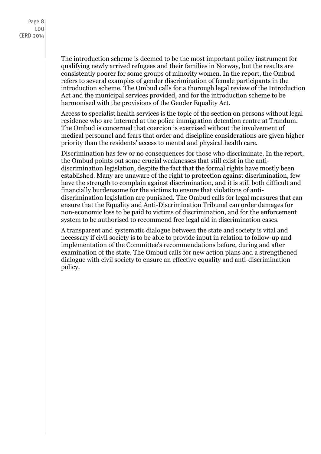The introduction scheme is deemed to be the most important policy instrument for qualifying newly arrived refugees and their families in Norway, but the results are consistently poorer for some groups of minority women. In the report, the Ombud refers to several examples of gender discrimination of female participants in the introduction scheme. The Ombud calls for a thorough legal review of the Introduction Act and the municipal services provided, and for the introduction scheme to be harmonised with the provisions of the Gender Equality Act.

Access to specialist health services is the topic of the section on persons without legal residence who are interned at the police immigration detention centre at Trandum. The Ombud is concerned that coercion is exercised without the involvement of medical personnel and fears that order and discipline considerations are given higher priority than the residents' access to mental and physical health care.

Discrimination has few or no consequences for those who discriminate. In the report, the Ombud points out some crucial weaknesses that still exist in the antidiscrimination legislation, despite the fact that the formal rights have mostly been established. Many are unaware of the right to protection against discrimination, few have the strength to complain against discrimination, and it is still both difficult and financially burdensome for the victims to ensure that violations of antidiscrimination legislation are punished. The Ombud calls for legal measures that can ensure that the Equality and Anti-Discrimination Tribunal can order damages for non-economic loss to be paid to victims of discrimination, and for the enforcement system to be authorised to recommend free legal aid in discrimination cases.

A transparent and systematic dialogue between the state and society is vital and necessary if civil society is to be able to provide input in relation to follow-up and implementation of the Committee's recommendations before, during and after examination of the state. The Ombud calls for new action plans and a strengthened dialogue with civil society to ensure an effective equality and anti-discrimination policy.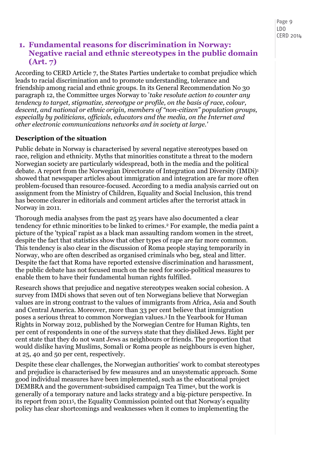# **1. Fundamental reasons for discrimination in Norway: Negative racial and ethnic stereotypes in the public domain (Art. 7)**

According to CERD Article 7, the States Parties undertake to combat prejudice which leads to racial discrimination and to promote understanding, tolerance and friendship among racial and ethnic groups. In its General Recommendation No 30 paragraph 12, the Committee urges Norway to '*take resolute action to counter any tendency to target, stigmatize, stereotype or profile, on the basis of race, colour, descent, and national or ethnic origin, members of "non-citizen" population groups, especially by politicians, officials, educators and the media, on the Internet and other electronic communications networks and in society at large.'*

# **Description of the situation**

Public debate in Norway is characterised by several negative stereotypes based on race, religion and ethnicity. Myths that minorities constitute a threat to the modern Norwegian society are particularly widespread, both in the media and the political debate. A report from the Norwegian Directorate of Integration and Diversity (IMDi)1 showed that newspaper articles about immigration and integration are far more often problem-focused than resource-focused. According to a media analysis carried out on assignment from the Ministry of Children, Equality and Social Inclusion, this trend has become clearer in editorials and comment articles after the terrorist attack in Norway in 2011.

Thorough media analyses from the past 25 years have also documented a clear tendency for ethnic minorities to be linked to crimes.2 For example, the media paint a picture of the 'typical' rapist as a black man assaulting random women in the street, despite the fact that statistics show that other types of rape are far more common. This tendency is also clear in the discussion of Roma people staying temporarily in Norway, who are often described as organised criminals who beg, steal and litter. Despite the fact that Roma have reported extensive discrimination and harassment, the public debate has not focused much on the need for socio-political measures to enable them to have their fundamental human rights fulfilled.

Research shows that prejudice and negative stereotypes weaken social cohesion. A survey from IMDi shows that seven out of ten Norwegians believe that Norwegian values are in strong contrast to the values of immigrants from Africa, Asia and South and Central America. Moreover, more than 33 per cent believe that immigration poses a serious threat to common Norwegian values.3 In the Yearbook for Human Rights in Norway 2012, published by the Norwegian Centre for Human Rights, ten per cent of respondents in one of the surveys state that they disliked Jews. Eight per cent state that they do not want Jews as neighbours or friends. The proportion that would dislike having Muslims, Somali or Roma people as neighbours is even higher, at 25, 40 and 50 per cent, respectively.

Despite these clear challenges, the Norwegian authorities' work to combat stereotypes and prejudice is characterised by few measures and an unsystematic approach. Some good individual measures have been implemented, such as the educational project DEMBRA and the government-subsidised campaign Tea Time4, but the work is generally of a temporary nature and lacks strategy and a big-picture perspective. In its report from 20115, the Equality Commission pointed out that Norway's equality policy has clear shortcomings and weaknesses when it comes to implementing the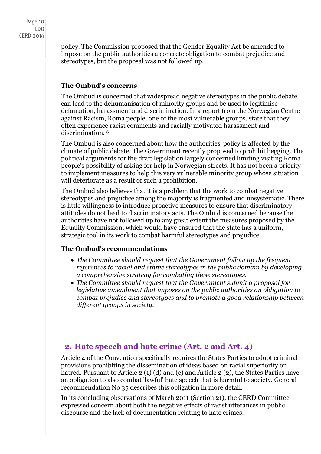policy. The Commission proposed that the Gender Equality Act be amended to impose on the public authorities a concrete obligation to combat prejudice and stereotypes, but the proposal was not followed up.

#### **The Ombud's concerns**

The Ombud is concerned that widespread negative stereotypes in the public debate can lead to the dehumanisation of minority groups and be used to legitimise defamation, harassment and discrimination. In a report from the Norwegian Centre against Racism, Roma people, one of the most vulnerable groups, state that they often experience racist comments and racially motivated harassment and discrimination.<sup>6</sup>

The Ombud is also concerned about how the authorities' policy is affected by the climate of public debate. The Government recently proposed to prohibit begging. The political arguments for the draft legislation largely concerned limiting visiting Roma people's possibility of asking for help in Norwegian streets. It has not been a priority to implement measures to help this very vulnerable minority group whose situation will deteriorate as a result of such a prohibition.

The Ombud also believes that it is a problem that the work to combat negative stereotypes and prejudice among the majority is fragmented and unsystematic. There is little willingness to introduce proactive measures to ensure that discriminatory attitudes do not lead to discriminatory acts. The Ombud is concerned because the authorities have not followed up to any great extent the measures proposed by the Equality Commission, which would have ensured that the state has a uniform, strategic tool in its work to combat harmful stereotypes and prejudice.

## **The Ombud's recommendations**

- *The Committee should request that the Government follow up the frequent references to racial and ethnic stereotypes in the public domain by developing a comprehensive strategy for combating these stereotypes.*
- *The Committee should request that the Government submit a proposal for legislative amendment that imposes on the public authorities an obligation to combat prejudice and stereotypes and to promote a good relationship between different groups in society.*

# **2. Hate speech and hate crime (Art. 2 and Art. 4)**

Article 4 of the Convention specifically requires the States Parties to adopt criminal provisions prohibiting the dissemination of ideas based on racial superiority or hatred. Pursuant to Article 2 (1) (d) and (e) and Article 2 (2), the States Parties have an obligation to also combat 'lawful' hate speech that is harmful to society. General recommendation No 35 describes this obligation in more detail.

In its concluding observations of March 2011 (Section 21), the CERD Committee expressed concern about both the negative effects of racist utterances in public discourse and the lack of documentation relating to hate crimes.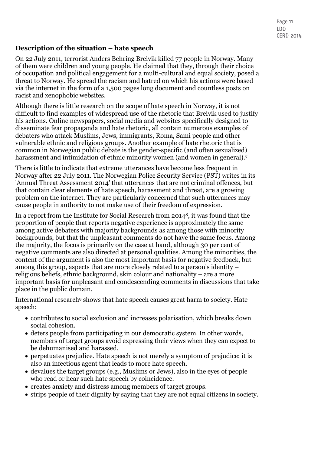Page 11 LDO CERD 2014

# **Description of the situation – hate speech**

On 22 July 2011, terrorist Anders Behring Breivik killed 77 people in Norway. Many of them were children and young people. He claimed that they, through their choice of occupation and political engagement for a multi-cultural and equal society, posed a threat to Norway. He spread the racism and hatred on which his actions were based via the internet in the form of a 1,500 pages long document and countless posts on racist and xenophobic websites.

Although there is little research on the scope of hate speech in Norway, it is not difficult to find examples of widespread use of the rhetoric that Breivik used to justify his actions. Online newspapers, social media and websites specifically designed to disseminate fear propaganda and hate rhetoric, all contain numerous examples of debaters who attack Muslims, Jews, immigrants, Roma, Sami people and other vulnerable ethnic and religious groups. Another example of hate rhetoric that is common in Norwegian public debate is the gender-specific (and often sexualized) harassment and intimidation of ethnic minority women (and women in general).<sup>7</sup>

There is little to indicate that extreme utterances have become less frequent in Norway after 22 July 2011. The Norwegian Police Security Service (PST) writes in its 'Annual Threat Assessment 2014' that utterances that are not criminal offences, but that contain clear elements of hate speech, harassment and threat, are a growing problem on the internet. They are particularly concerned that such utterances may cause people in authority to not make use of their freedom of expression.

In a report from the Institute for Social Research from 20148, it was found that the proportion of people that reports negative experience is approximately the same among active debaters with majority backgrounds as among those with minority backgrounds, but that the unpleasant comments do not have the same focus. Among the majority, the focus is primarily on the case at hand, although 30 per cent of negative comments are also directed at personal qualities. Among the minorities, the content of the argument is also the most important basis for negative feedback, but among this group, aspects that are more closely related to a person's identity – religious beliefs, ethnic background, skin colour and nationality – are a more important basis for unpleasant and condescending comments in discussions that take place in the public domain.

International research9 shows that hate speech causes great harm to society. Hate speech:

- contributes to social exclusion and increases polarisation, which breaks down social cohesion.
- deters people from participating in our democratic system. In other words, members of target groups avoid expressing their views when they can expect to be dehumanised and harassed.
- perpetuates prejudice. Hate speech is not merely a symptom of prejudice; it is also an infectious agent that leads to more hate speech.
- devalues the target groups (e.g., Muslims or Jews), also in the eyes of people who read or hear such hate speech by coincidence.
- creates anxiety and distress among members of target groups.
- strips people of their dignity by saying that they are not equal citizens in society.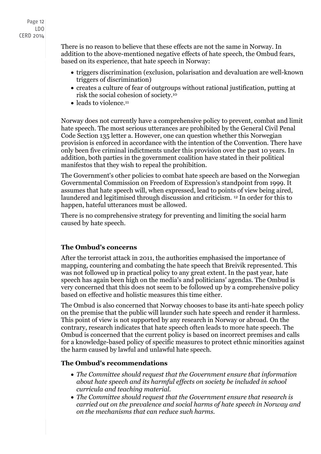There is no reason to believe that these effects are not the same in Norway. In addition to the above-mentioned negative effects of hate speech, the Ombud fears, based on its experience, that hate speech in Norway:

- triggers discrimination (exclusion, polarisation and devaluation are well-known triggers of discrimination)
- creates a culture of fear of outgroups without rational justification, putting at risk the social cohesion of society.10
- leads to violence.<sup>11</sup>

Norway does not currently have a comprehensive policy to prevent, combat and limit hate speech. The most serious utterances are prohibited by the General Civil Penal Code Section 135 letter a. However, one can question whether this Norwegian provision is enforced in accordance with the intention of the Convention. There have only been five criminal indictments under this provision over the past 10 years. In addition, both parties in the government coalition have stated in their political manifestos that they wish to repeal the prohibition.

The Government's other policies to combat hate speech are based on the Norwegian Governmental Commission on Freedom of Expression's standpoint from 1999. It assumes that hate speech will, when expressed, lead to points of view being aired, laundered and legitimised through discussion and criticism. 12 In order for this to happen, hateful utterances must be allowed.

There is no comprehensive strategy for preventing and limiting the social harm caused by hate speech.

## **The Ombud's concerns**

After the terrorist attack in 2011, the authorities emphasised the importance of mapping, countering and combating the hate speech that Breivik represented. This was not followed up in practical policy to any great extent. In the past year, hate speech has again been high on the media's and politicians' agendas. The Ombud is very concerned that this does not seem to be followed up by a comprehensive policy based on effective and holistic measures this time either.

The Ombud is also concerned that Norway chooses to base its anti-hate speech policy on the premise that the public will launder such hate speech and render it harmless. This point of view is not supported by any research in Norway or abroad. On the contrary, research indicates that hate speech often leads to more hate speech. The Ombud is concerned that the current policy is based on incorrect premises and calls for a knowledge-based policy of specific measures to protect ethnic minorities against the harm caused by lawful and unlawful hate speech.

#### **The Ombud's recommendations**

- *The Committee should request that the Government ensure that information about hate speech and its harmful effects on society be included in school curricula and teaching material.*
- *The Committee should request that the Government ensure that research is carried out on the prevalence and social harms of hate speech in Norway and on the mechanisms that can reduce such harms.*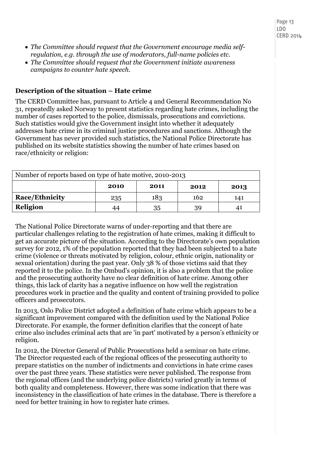- *The Committee should request that the Government encourage media selfregulation, e.g. through the use of moderators, full-name policies etc.*
- *The Committee should request that the Government initiate awareness campaigns to counter hate speech.*

# **Description of the situation – Hate crime**

The CERD Committee has, pursuant to Article 4 and General Recommendation No 31, repeatedly asked Norway to present statistics regarding hate crimes, including the number of cases reported to the police, dismissals, prosecutions and convictions. Such statistics would give the Government insight into whether it adequately addresses hate crime in its criminal justice procedures and sanctions. Although the Government has never provided such statistics, the National Police Directorate has published on its website statistics showing the number of hate crimes based on race/ethnicity or religion:

| Number of reports based on type of hate motive, 2010-2013 |      |      |      |      |  |  |  |  |  |
|-----------------------------------------------------------|------|------|------|------|--|--|--|--|--|
|                                                           | 2010 | 2011 | 2012 | 2013 |  |  |  |  |  |
| Race/Ethnicity                                            | 235  | 183  | 162  | 141  |  |  |  |  |  |
| <b>Religion</b>                                           |      | 35   | 39   | 41   |  |  |  |  |  |

The National Police Directorate warns of under-reporting and that there are particular challenges relating to the registration of hate crimes, making it difficult to get an accurate picture of the situation. According to the Directorate's own population survey for 2012, 1% of the population reported that they had been subjected to a hate crime (violence or threats motivated by religion, colour, ethnic origin, nationality or sexual orientation) during the past year. Only 38 % of those victims said that they reported it to the police. In the Ombud's opinion, it is also a problem that the police and the prosecuting authority have no clear definition of hate crime. Among other things, this lack of clarity has a negative influence on how well the registration procedures work in practice and the quality and content of training provided to police officers and prosecutors.

In 2013, Oslo Police District adopted a definition of hate crime which appears to be a significant improvement compared with the definition used by the National Police Directorate. For example, the former definition clarifies that the concept of hate crime also includes criminal acts that are 'in part' motivated by a person's ethnicity or religion.

In 2012, the Director General of Public Prosecutions held a seminar on hate crime. The Director requested each of the regional offices of the prosecuting authority to prepare statistics on the number of indictments and convictions in hate crime cases over the past three years. These statistics were never published. The response from the regional offices (and the underlying police districts) varied greatly in terms of both quality and completeness. However, there was some indication that there was inconsistency in the classification of hate crimes in the database. There is therefore a need for better training in how to register hate crimes.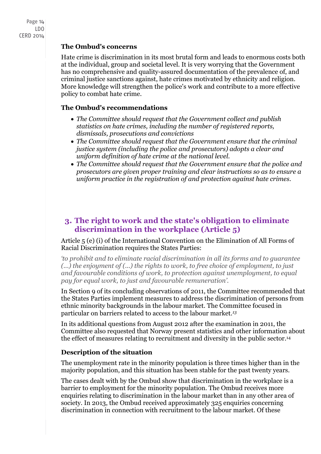Page 14 LDO CERD 2014

#### **The Ombud's concerns**

Hate crime is discrimination in its most brutal form and leads to enormous costs both at the individual, group and societal level. It is very worrying that the Government has no comprehensive and quality-assured documentation of the prevalence of, and criminal justice sanctions against, hate crimes motivated by ethnicity and religion. More knowledge will strengthen the police's work and contribute to a more effective policy to combat hate crime.

#### **The Ombud's recommendations**

- *The Committee should request that the Government collect and publish statistics on hate crimes, including the number of registered reports, dismissals, prosecutions and convictions*
- *The Committee should request that the Government ensure that the criminal justice system (including the police and prosecutors) adopts a clear and uniform definition of hate crime at the national level.*
- *The Committee should request that the Government ensure that the police and prosecutors are given proper training and clear instructions so as to ensure a uniform practice in the registration of and protection against hate crimes.*

# **3. The right to work and the state's obligation to eliminate discrimination in the workplace (Article 5)**

Article 5 (e) (i) of the International Convention on the Elimination of All Forms of Racial Discrimination requires the States Parties:

*'to prohibit and to eliminate racial discrimination in all its forms and to guarantee (...) the enjoyment of (...) the rights to work, to free choice of employment, to just and favourable conditions of work, to protection against unemployment, to equal pay for equal work, to just and favourable remuneration'.*

In Section 9 of its concluding observations of 2011, the Committee recommended that the States Parties implement measures to address the discrimination of persons from ethnic minority backgrounds in the labour market. The Committee focused in particular on barriers related to access to the labour market.*<sup>13</sup>*

In its additional questions from August 2012 after the examination in 2011, the Committee also requested that Norway present statistics and other information about the effect of measures relating to recruitment and diversity in the public sector.14

#### **Description of the situation**

The unemployment rate in the minority population is three times higher than in the majority population, and this situation has been stable for the past twenty years.

The cases dealt with by the Ombud show that discrimination in the workplace is a barrier to employment for the minority population. The Ombud receives more enquiries relating to discrimination in the labour market than in any other area of society. In 2013, the Ombud received approximately 325 enquiries concerning discrimination in connection with recruitment to the labour market. Of these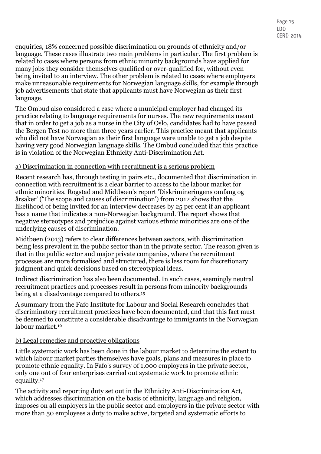Page 15 LDO CERD 2014

enquiries, 18% concerned possible discrimination on grounds of ethnicity and/or language. These cases illustrate two main problems in particular. The first problem is related to cases where persons from ethnic minority backgrounds have applied for many jobs they consider themselves qualified or over-qualified for, without even being invited to an interview. The other problem is related to cases where employers make unreasonable requirements for Norwegian language skills, for example through job advertisements that state that applicants must have Norwegian as their first language.

The Ombud also considered a case where a municipal employer had changed its practice relating to language requirements for nurses. The new requirements meant that in order to get a job as a nurse in the City of Oslo, candidates had to have passed the Bergen Test no more than three years earlier. This practice meant that applicants who did not have Norwegian as their first language were unable to get a job despite having very good Norwegian language skills. The Ombud concluded that this practice is in violation of the Norwegian Ethnicity Anti-Discrimination Act.

#### a) Discrimination in connection with recruitment is a serious problem

Recent research has, through testing in pairs etc., documented that discrimination in connection with recruitment is a clear barrier to access to the labour market for ethnic minorities. Rogstad and Midtbøen's report 'Diskrimineringens omfang og årsaker' ('The scope and causes of discrimination') from 2012 shows that the likelihood of being invited for an interview decreases by 25 per cent if an applicant has a name that indicates a non-Norwegian background. The report shows that negative stereotypes and prejudice against various ethnic minorities are one of the underlying causes of discrimination.

Midtbøen (2013) refers to clear differences between sectors, with discrimination being less prevalent in the public sector than in the private sector. The reason given is that in the public sector and major private companies, where the recruitment processes are more formalised and structured, there is less room for discretionary judgment and quick decisions based on stereotypical ideas.

Indirect discrimination has also been documented. In such cases, seemingly neutral recruitment practices and processes result in persons from minority backgrounds being at a disadvantage compared to others.15

A summary from the Fafo Institute for Labour and Social Research concludes that discriminatory recruitment practices have been documented, and that this fact must be deemed to constitute a considerable disadvantage to immigrants in the Norwegian labour market.16

#### b) Legal remedies and proactive obligations

Little systematic work has been done in the labour market to determine the extent to which labour market parties themselves have goals, plans and measures in place to promote ethnic equality. In Fafo's survey of 1,000 employers in the private sector, only one out of four enterprises carried out systematic work to promote ethnic equality.17

The activity and reporting duty set out in the Ethnicity Anti-Discrimination Act, which addresses discrimination on the basis of ethnicity, language and religion, imposes on all employers in the public sector and employers in the private sector with more than 50 employees a duty to make active, targeted and systematic efforts to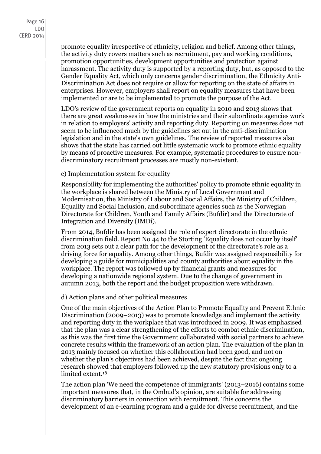promote equality irrespective of ethnicity, religion and belief. Among other things, the activity duty covers matters such as recruitment, pay and working conditions, promotion opportunities, development opportunities and protection against harassment. The activity duty is supported by a reporting duty, but, as opposed to the Gender Equality Act, which only concerns gender discrimination, the Ethnicity Anti-Discrimination Act does not require or allow for reporting on the state of affairs in enterprises. However, employers shall report on equality measures that have been implemented or are to be implemented to promote the purpose of the Act.

LDO's review of the government reports on equality in 2010 and 2013 shows that there are great weaknesses in how the ministries and their subordinate agencies work in relation to employers' activity and reporting duty. Reporting on measures does not seem to be influenced much by the guidelines set out in the anti-discrimination legislation and in the state's own guidelines. The review of reported measures also shows that the state has carried out little systematic work to promote ethnic equality by means of proactive measures. For example, systematic procedures to ensure nondiscriminatory recruitment processes are mostly non-existent.

#### c) Implementation system for equality

Responsibility for implementing the authorities' policy to promote ethnic equality in the workplace is shared between the Ministry of Local Government and Modernisation, the Ministry of Labour and Social Affairs, the Ministry of Children, Equality and Social Inclusion, and subordinate agencies such as the Norwegian Directorate for Children, Youth and Family Affairs (Bufdir) and the Directorate of Integration and Diversity (IMDi).

From 2014, Bufdir has been assigned the role of expert directorate in the ethnic discrimination field. Report No 44 to the Storting 'Equality does not occur by itself' from 2013 sets out a clear path for the development of the directorate's role as a driving force for equality. Among other things, Bufdir was assigned responsibility for developing a guide for municipalities and county authorities about equality in the workplace. The report was followed up by financial grants and measures for developing a nationwide regional system. Due to the change of government in autumn 2013, both the report and the budget proposition were withdrawn.

#### d) Action plans and other political measures

One of the main objectives of the Action Plan to Promote Equality and Prevent Ethnic Discrimination (2009–2013) was to promote knowledge and implement the activity and reporting duty in the workplace that was introduced in 2009. It was emphasised that the plan was a clear strengthening of the efforts to combat ethnic discrimination, as this was the first time the Government collaborated with social partners to achieve concrete results within the framework of an action plan. The evaluation of the plan in 2013 mainly focused on whether this collaboration had been good, and not on whether the plan's objectives had been achieved, despite the fact that ongoing research showed that employers followed up the new statutory provisions only to a limited extent.18

The action plan 'We need the competence of immigrants' (2013–2016) contains some important measures that, in the Ombud's opinion, are suitable for addressing discriminatory barriers in connection with recruitment. This concerns the development of an e-learning program and a guide for diverse recruitment, and the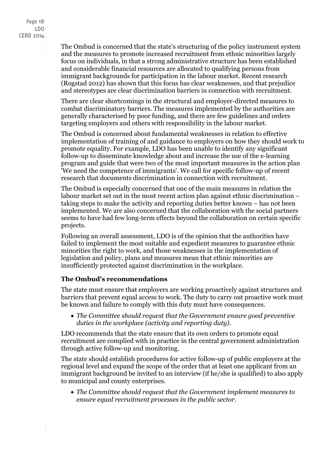The Ombud is concerned that the state's structuring of the policy instrument system and the measures to promote increased recruitment from ethnic minorities largely focus on individuals, in that a strong administrative structure has been established and considerable financial resources are allocated to qualifying persons from immigrant backgrounds for participation in the labour market. Recent research (Rogstad 2012) has shown that this focus has clear weaknesses, and that prejudice and stereotypes are clear discrimination barriers in connection with recruitment.

There are clear shortcomings in the structural and employer-directed measures to combat discriminatory barriers. The measures implemented by the authorities are generally characterised by poor funding, and there are few guidelines and orders targeting employers and others with responsibility in the labour market.

The Ombud is concerned about fundamental weaknesses in relation to effective implementation of training of and guidance to employers on how they should work to promote equality. For example, LDO has been unable to identify any significant follow-up to disseminate knowledge about and increase the use of the e-learning program and guide that were two of the most important measures in the action plan 'We need the competence of immigrants'. We call for specific follow-up of recent research that documents discrimination in connection with recruitment.

The Ombud is especially concerned that one of the main measures in relation the labour market set out in the most recent action plan against ethnic discrimination – taking steps to make the activity and reporting duties better known – has not been implemented. We are also concerned that the collaboration with the social partners seems to have had few long-term effects beyond the collaboration on certain specific projects.

Following an overall assessment, LDO is of the opinion that the authorities have failed to implement the most suitable and expedient measures to guarantee ethnic minorities the right to work, and those weaknesses in the implementation of legislation and policy, plans and measures mean that ethnic minorities are insufficiently protected against discrimination in the workplace.

## **The Ombud's recommendations**

The state must ensure that employers are working proactively against structures and barriers that prevent equal access to work. The duty to carry out proactive work must be known and failure to comply with this duty must have consequences.

 *The Committee should request that the Government ensure good preventive duties in the workplace (activity and reporting duty).* 

LDO recommends that the state ensure that its own orders to promote equal recruitment are complied with in practice in the central government administration through active follow-up and monitoring.

The state should establish procedures for active follow-up of public employers at the regional level and expand the scope of the order that at least one applicant from an immigrant background be invited to an interview (if he/she is qualified) to also apply to municipal and county enterprises.

 *The Committee should request that the Government implement measures to ensure equal recruitment processes in the public sector.*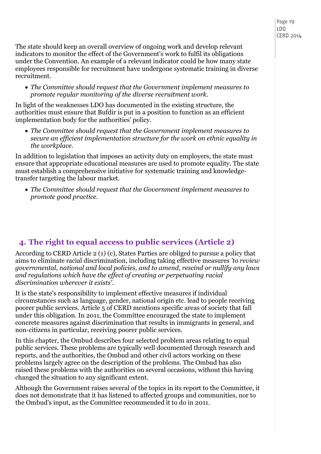Page 19 LDO CERD 2014

The state should keep an overall overview of ongoing work and develop relevant indicators to monitor the effect of the Government's work to fulfil its obligations under the Convention. An example of a relevant indicator could be how many state employees responsible for recruitment have undergone systematic training in diverse recruitment.

 *The Committee should request that the Government implement measures to promote regular monitoring of the diverse recruitment work.* 

In light of the weaknesses LDO has documented in the existing structure, the authorities must ensure that Bufdir is put in a position to function as an efficient implementation body for the authorities' policy.

 *The Committee should request that the Government implement measures to secure an efficient implementation structure for the work on ethnic equality in the workplace.* 

In addition to legislation that imposes an activity duty on employers, the state must ensure that appropriate educational measures are used to promote equality. The state must establish a comprehensive initiative for systematic training and knowledgetransfer targeting the labour market.

 *The Committee should request that the Government implement measures to promote good practice.* 

# **4. The right to equal access to public services (Article 2)**

According to CERD Article 2 (1) (c), States Parties are obliged to pursue a policy that aims to eliminate racial discrimination, including taking effective measures *'to review governmental, national and local policies, and to amend, rescind or nullify any laws and regulations which have the effect of creating or perpetuating racial discrimination wherever it exists'*.

It is the state's responsibility to implement effective measures if individual circumstances such as language, gender, national origin etc. lead to people receiving poorer public services. Article 5 of CERD mentions specific areas of society that fall under this obligation. In 2011, the Committee encouraged the state to implement concrete measures against discrimination that results in immigrants in general, and non-citizens in particular, receiving poorer public services.

In this chapter, the Ombud describes four selected problem areas relating to equal public services. These problems are typically well documented through research and reports, and the authorities, the Ombud and other civil actors working on these problems largely agree on the description of the problems. The Ombud has also raised these problems with the authorities on several occasions, without this having changed the situation to any significant extent.

Although the Government raises several of the topics in its report to the Committee, it does not demonstrate that it has listened to affected groups and communities, nor to the Ombud's input, as the Committee recommended it to do in 2011.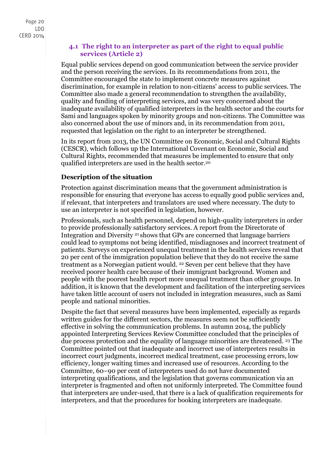#### **4.1 The right to an interpreter as part of the right to equal public services (Article 2)**

Equal public services depend on good communication between the service provider and the person receiving the services. In its recommendations from 2011, the Committee encouraged the state to implement concrete measures against discrimination, for example in relation to non-citizens' access to public services. The Committee also made a general recommendation to strengthen the availability, quality and funding of interpreting services, and was very concerned about the inadequate availability of qualified interpreters in the health sector and the courts for Sami and languages spoken by minority groups and non-citizens. The Committee was also concerned about the use of minors and, in its recommendation from 2011, requested that legislation on the right to an interpreter be strengthened.

In its report from 2013, the UN Committee on Economic, Social and Cultural Rights (CESCR), which follows up the International Covenant on Economic, Social and Cultural Rights, recommended that measures be implemented to ensure that only qualified interpreters are used in the health sector.20

#### **Description of the situation**

Protection against discrimination means that the government administration is responsible for ensuring that everyone has access to equally good public services and, if relevant, that interpreters and translators are used where necessary. The duty to use an interpreter is not specified in legislation, however.

Professionals, such as health personnel, depend on high-quality interpreters in order to provide professionally satisfactory services. A report from the Directorate of Integration and Diversity 21 shows that GPs are concerned that language barriers could lead to symptoms not being identified, misdiagnoses and incorrect treatment of patients. Surveys on experienced unequal treatment in the health services reveal that 20 per cent of the immigration population believe that they do not receive the same treatment as a Norwegian patient would. 22 Seven per cent believe that they have received poorer health care because of their immigrant background. Women and people with the poorest health report more unequal treatment than other groups. In addition, it is known that the development and facilitation of the interpreting services have taken little account of users not included in integration measures, such as Sami people and national minorities.

Despite the fact that several measures have been implemented, especially as regards written guides for the different sectors, the measures seem not be sufficiently effective in solving the communication problems. In autumn 2014, the publicly appointed Interpreting Services Review Committee concluded that the principles of due process protection and the equality of language minorities are threatened. 23 The Committee pointed out that inadequate and incorrect use of interpreters results in incorrect court judgments, incorrect medical treatment, case processing errors, low efficiency, longer waiting times and increased use of resources. According to the Committee, 60–90 per cent of interpreters used do not have documented interpreting qualifications, and the legislation that governs communication via an interpreter is fragmented and often not uniformly interpreted. The Committee found that interpreters are under-used, that there is a lack of qualification requirements for interpreters, and that the procedures for booking interpreters are inadequate.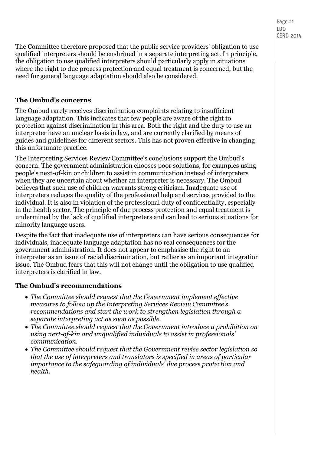The Committee therefore proposed that the public service providers' obligation to use qualified interpreters should be enshrined in a separate interpreting act. In principle, the obligation to use qualified interpreters should particularly apply in situations where the right to due process protection and equal treatment is concerned, but the need for general language adaptation should also be considered.

# **The Ombud's concerns**

The Ombud rarely receives discrimination complaints relating to insufficient language adaptation. This indicates that few people are aware of the right to protection against discrimination in this area. Both the right and the duty to use an interpreter have an unclear basis in law, and are currently clarified by means of guides and guidelines for different sectors. This has not proven effective in changing this unfortunate practice.

The Interpreting Services Review Committee's conclusions support the Ombud's concern. The government administration chooses poor solutions, for examples using people's next-of-kin or children to assist in communication instead of interpreters when they are uncertain about whether an interpreter is necessary. The Ombud believes that such use of children warrants strong criticism. Inadequate use of interpreters reduces the quality of the professional help and services provided to the individual. It is also in violation of the professional duty of confidentiality, especially in the health sector. The principle of due process protection and equal treatment is undermined by the lack of qualified interpreters and can lead to serious situations for minority language users.

Despite the fact that inadequate use of interpreters can have serious consequences for individuals, inadequate language adaptation has no real consequences for the government administration. It does not appear to emphasise the right to an interpreter as an issue of racial discrimination, but rather as an important integration issue. The Ombud fears that this will not change until the obligation to use qualified interpreters is clarified in law.

## **The Ombud's recommendations**

- *The Committee should request that the Government implement effective measures to follow up the Interpreting Services Review Committee's recommendations and start the work to strengthen legislation through a separate interpreting act as soon as possible.*
- *The Committee should request that the Government introduce a prohibition on using next-of-kin and unqualified individuals to assist in professionals' communication.*
- *The Committee should request that the Government revise sector legislation so that the use of interpreters and translators is specified in areas of particular importance to the safeguarding of individuals' due process protection and health.*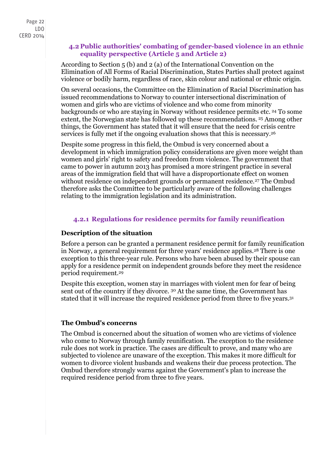## **4.2 Public authorities' combating of gender-based violence in an ethnic equality perspective (Article 5 and Article 2)**

According to Section 5 (b) and 2 (a) of the International Convention on the Elimination of All Forms of Racial Discrimination, States Parties shall protect agains t violence or bodily harm, regardless of race, skin colour and national or ethnic origin.

On several occasions, the Committee on the Elimination of Racial Discrimination has issued recommendations to Norway to counter intersectional discrimination of women and girls who are victims of violence and who come from minority backgrounds or who are staying in Norway without residence permits etc. 24 To some extent, the Norwegian state has followed up these recommendations. 25 Among other things, the Government has stated that it will ensure that the need for crisis centre services is fully met if the ongoing evaluation shows that this is necessary.26

Despite some progress in this field, the Ombud is very concerned about a development in which immigration policy considerations are given more weight than women and girls' right to safety and freedom from violence. The government that came to power in autumn 2013 has promised a more stringent practice in several areas of the immigration field that will have a disproportionate effect on women without residence on independent grounds or permanent residence.<sup>27</sup> The Ombud therefore asks the Committee to be particularly aware of the following challenges relating to the immigration legislation and its administration.

## **4.2.1 Regulations for residence permits for family reunification**

#### **Description of the situation**

Before a person can be granted a permanent residence permit for family reunificatio n in Norway, a general requirement for three years' residence applies.28 There is one exception to this three-year rule. Persons who have been abused by their spouse can apply for a residence permit on independent grounds before they meet the residence period requirement.29

Despite this exception, women stay in marriages with violent men for fear of being sent out of the country if they divorce. 30 At the same time, the Government has stated that it will increase the required residence period from three to five years.31

## **The Ombud's concerns**

The Ombud is concerned about the situation of women who are victims of violence who come to Norway through family reunification. The exception to the residence rule does not work in practice. The cases are difficult to prove, and many who are subjected to violence are unaware of the exception. This makes it more difficult for women to divorce violent husbands and weakens their due process protection. The Ombud therefore strongly warns against the Government's plan to increase the required residence period from three to five years.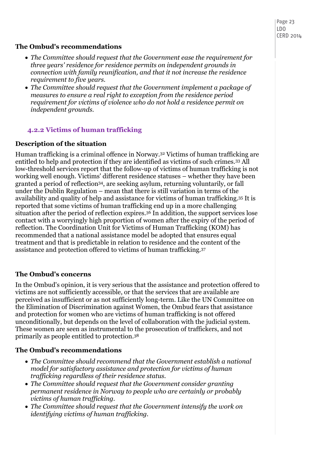Page 23 LDO CERD 2014

#### **The Ombud's recommendations**

- *The Committee should request that the Government ease the requirement for three years' residence for residence permits on independent grounds in connection with family reunification, and that it not increase the residence requirement to five years.*
- *The Committee should request that the Government implement a package of measures to ensure a real right to exception from the residence period requirement for victims of violence who do not hold a residence permit on independent grounds.*

# **4.2.2 Victims of human trafficking**

## **Description of the situation**

Human trafficking is a criminal offence in Norway.32 Victims of human trafficking are entitled to help and protection if they are identified as victims of such crimes.33 All low-threshold services report that the follow-up of victims of human trafficking is not working well enough. Victims' different residence statuses – whether they have been granted a period of reflection34, are seeking asylum, returning voluntarily, or fall under the Dublin Regulation – mean that there is still variation in terms of the availability and quality of help and assistance for victims of human trafficking.35 It is reported that some victims of human trafficking end up in a more challenging situation after the period of reflection expires.36 In addition, the support services lose contact with a worryingly high proportion of women after the expiry of the period of reflection. The Coordination Unit for Victims of Human Trafficking (KOM) has recommended that a national assistance model be adopted that ensures equal treatment and that is predictable in relation to residence and the content of the assistance and protection offered to victims of human trafficking.37

## **The Ombud's concerns**

In the Ombud's opinion, it is very serious that the assistance and protection offered to victims are not sufficiently accessible, or that the services that are available are perceived as insufficient or as not sufficiently long-term. Like the UN Committee on the Elimination of Discrimination against Women, the Ombud fears that assistance and protection for women who are victims of human trafficking is not offered unconditionally, but depends on the level of collaboration with the judicial system. These women are seen as instrumental to the prosecution of traffickers, and not primarily as people entitled to protection.38

## **The Ombud's recommendations**

- *The Committee should recommend that the Government establish a national model for satisfactory assistance and protection for victims of human trafficking regardless of their residence status.*
- *The Committee should request that the Government consider granting permanent residence in Norway to people who are certainly or probably victims of human trafficking.*
- *The Committee should request that the Government intensify the work on identifying victims of human trafficking.*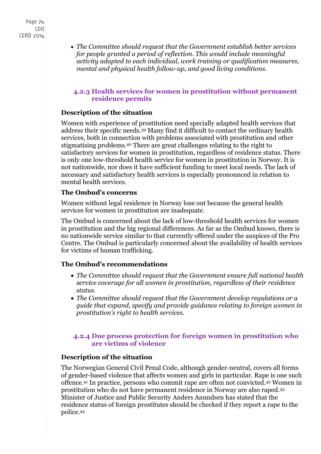*The Committee should request that the Government establish better services for people granted a period of reflection. This would include meaningful activity adapted to each individual, work training or qualification measures, mental and physical health follow-up, and good living conditions.*

#### **4.2.3 Health services for women in prostitution without permanent residence permits**

#### **Description of the situation**

Women with experience of prostitution need specially adapted health services that address their specific needs.39 Many find it difficult to contact the ordinary health services, both in connection with problems associated with prostitution and other stigmatising problems.40 There are great challenges relating to the right to satisfactory services for women in prostitution, regardless of residence status. There is only one low-threshold health service for women in prostitution in Norway. It is not nationwide, nor does it have sufficient funding to meet local needs. The lack of necessary and satisfactory health services is especially pronounced in relation to mental health services.

## **The Ombud's concerns**

Women without legal residence in Norway lose out because the general health services for women in prostitution are inadequate.

The Ombud is concerned about the lack of low-threshold health services for women in prostitution and the big regional differences. As far as the Ombud knows, there is no nationwide service similar to that currently offered under the auspices of the Pro Centre. The Ombud is particularly concerned about the availability of health services for victims of human trafficking.

## **The Ombud's recommendations**

- *The Committee should request that the Government ensure full national health service coverage for all women in prostitution, regardless of their residence status.*
- *The Committee should request that the Government develop regulations or a guide that expand, specify and provide guidance relating to foreign women in prostitution's right to health services.*

#### **4.2.4 Due process protection for foreign women in prostitution who are victims of violence**

## **Description of the situation**

The Norwegian General Civil Penal Code, although gender-neutral, covers all forms of gender-based violence that affects women and girls in particular. Rape is one such offence.41 In practice, persons who commit rape are often not convicted.42 Women in prostitution who do not have permanent residence in Norway are also raped.43 Minister of Justice and Public Security Anders Anundsen has stated that the residence status of foreign prostitutes should be checked if they report a rape to the police.44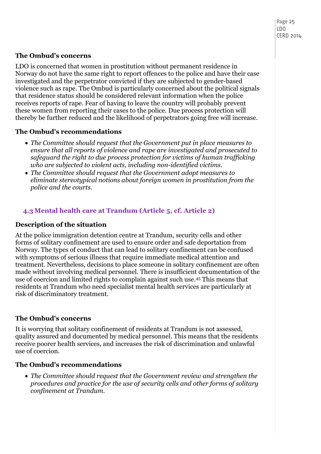Page 25 LDO CERD 2014

## **The Ombud's concerns**

LDO is concerned that women in prostitution without permanent residence in Norway do not have the same right to report offences to the police and have their case investigated and the perpetrator convicted if they are subjected to gender-based violence such as rape. The Ombud is particularly concerned about the political signals that residence status should be considered relevant information when the police receives reports of rape. Fear of having to leave the country will probably prevent these women from reporting their cases to the police. Due process protection will thereby be further reduced and the likelihood of perpetrators going free will increase.

#### **The Ombud's recommendations**

- *The Committee should request that the Government put in place measures to ensure that all reports of violence and rape are investigated and prosecuted to safeguard the right to due process protection for victims of human trafficking who are subjected to violent acts, including non-identified victims.*
- *The Committee should request that the Government adopt measures to eliminate stereotypical notions about foreign women in prostitution from the police and the courts.*

# **4.3Mental health care at Trandum (Article 5, cf. Article 2)**

#### **Description of the situation**

At the police immigration detention centre at Trandum, security cells and other forms of solitary confinement are used to ensure order and safe deportation from Norway. The types of conduct that can lead to solitary confinement can be confused with symptoms of serious illness that require immediate medical attention and treatment. Nevertheless, decisions to place someone in solitary confinement are often made without involving medical personnel. There is insufficient documentation of the use of coercion and limited rights to complain against such use.45 This means that residents at Trandum who need specialist mental health services are particularly at risk of discriminatory treatment.

#### **The Ombud's concerns**

It is worrying that solitary confinement of residents at Trandum is not assessed, quality assured and documented by medical personnel. This means that the residents receive poorer health services, and increases the risk of discrimination and unlawful use of coercion.

#### **The Ombud's recommendations**

 *The Committee should request that the Government review and strengthen the procedures and practice for the use of security cells and other forms of solitary confinement at Trandum.*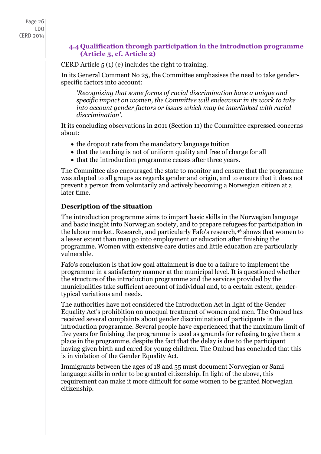#### **4.4 Qualification through participation in the introduction programme (Article 5, cf. Article 2)**

CERD Article 5 (1) (e) includes the right to training.

In its General Comment No 25, the Committee emphasises the need to take genderspecific factors into account:

*'Recognizing that some forms of racial discrimination have a unique and specific impact on women, the Committee will endeavour in its work to take into account gender factors or issues which may be interlinked with racial discrimination'.* 

It its concluding observations in 2011 (Section 11) the Committee expressed concerns about:

- the dropout rate from the mandatory language tuition
- that the teaching is not of uniform quality and free of charge for all
- that the introduction programme ceases after three years.

The Committee also encouraged the state to monitor and ensure that the programme was adapted to all groups as regards gender and origin, and to ensure that it does not prevent a person from voluntarily and actively becoming a Norwegian citizen at a later time.

# **Description of the situation**

The introduction programme aims to impart basic skills in the Norwegian language and basic insight into Norwegian society, and to prepare refugees for participation in the labour market. Research, and particularly Fafo's research,46 shows that women to a lesser extent than men go into employment or education after finishing the programme. Women with extensive care duties and little education are particularly vulnerable.

Fafo's conclusion is that low goal attainment is due to a failure to implement the programme in a satisfactory manner at the municipal level. It is questioned whether the structure of the introduction programme and the services provided by the municipalities take sufficient account of individual and, to a certain extent, gendertypical variations and needs.

The authorities have not considered the Introduction Act in light of the Gender Equality Act's prohibition on unequal treatment of women and men. The Ombud has received several complaints about gender discrimination of participants in the introduction programme. Several people have experienced that the maximum limit of five years for finishing the programme is used as grounds for refusing to give them a place in the programme, despite the fact that the delay is due to the participant having given birth and cared for young children. The Ombud has concluded that this is in violation of the Gender Equality Act.

Immigrants between the ages of 18 and 55 must document Norwegian or Sami language skills in order to be granted citizenship. In light of the above, this requirement can make it more difficult for some women to be granted Norwegian citizenship.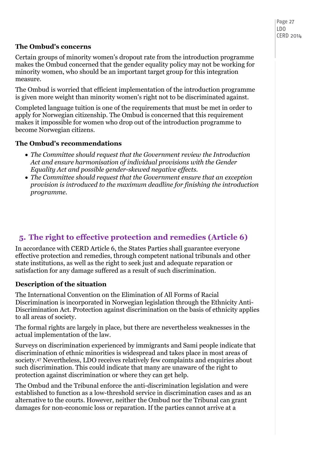Page 27 LDO CERD 2014

# **The Ombud's concerns**

Certain groups of minority women's dropout rate from the introduction programme makes the Ombud concerned that the gender equality policy may not be working for minority women, who should be an important target group for this integration measure.

The Ombud is worried that efficient implementation of the introduction programme is given more weight than minority women's right not to be discriminated against.

Completed language tuition is one of the requirements that must be met in order to apply for Norwegian citizenship. The Ombud is concerned that this requirement makes it impossible for women who drop out of the introduction programme to become Norwegian citizens.

## **The Ombud's recommendations**

- *The Committee should request that the Government review the Introduction Act and ensure harmonisation of individual provisions with the Gender Equality Act and possible gender-skewed negative effects.*
- *The Committee should request that the Government ensure that an exception provision is introduced to the maximum deadline for finishing the introduction programme.*

# **5. The right to effective protection and remedies (Article 6)**

In accordance with CERD Article 6, the States Parties shall guarantee everyone effective protection and remedies, through competent national tribunals and other state institutions, as well as the right to seek just and adequate reparation or satisfaction for any damage suffered as a result of such discrimination.

## **Description of the situation**

The International Convention on the Elimination of All Forms of Racial Discrimination is incorporated in Norwegian legislation through the Ethnicity Anti-Discrimination Act. Protection against discrimination on the basis of ethnicity applies to all areas of society.

The formal rights are largely in place, but there are nevertheless weaknesses in the actual implementation of the law.

Surveys on discrimination experienced by immigrants and Sami people indicate that discrimination of ethnic minorities is widespread and takes place in most areas of society.47 Nevertheless, LDO receives relatively few complaints and enquiries about such discrimination. This could indicate that many are unaware of the right to protection against discrimination or where they can get help.

The Ombud and the Tribunal enforce the anti-discrimination legislation and were established to function as a low-threshold service in discrimination cases and as an alternative to the courts. However, neither the Ombud nor the Tribunal can grant damages for non-economic loss or reparation. If the parties cannot arrive at a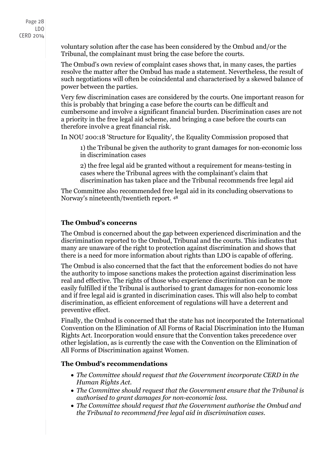Page 28 LDO CERD 2014

> voluntary solution after the case has been considered by the Ombud and/or the Tribunal, the complainant must bring the case before the courts.

The Ombud's own review of complaint cases shows that, in many cases, the parties resolve the matter after the Ombud has made a statement. Nevertheless, the result of such negotiations will often be coincidental and characterised by a skewed balance of power between the parties.

Very few discrimination cases are considered by the courts. One important reason for this is probably that bringing a case before the courts can be difficult and cumbersome and involve a significant financial burden. Discrimination cases are not a priority in the free legal aid scheme, and bringing a case before the courts can therefore involve a great financial risk.

In NOU 200:18 'Structure for Equality', the Equality Commission proposed that

1) the Tribunal be given the authority to grant damages for non-economic loss in discrimination cases

2) the free legal aid be granted without a requirement for means-testing in cases where the Tribunal agrees with the complainant's claim that discrimination has taken place and the Tribunal recommends free legal aid

The Committee also recommended free legal aid in its concluding observations to Norway's nineteenth/twentieth report. 48

#### **The Ombud's concerns**

The Ombud is concerned about the gap between experienced discrimination and the discrimination reported to the Ombud, Tribunal and the courts. This indicates that many are unaware of the right to protection against discrimination and shows that there is a need for more information about rights than LDO is capable of offering.

The Ombud is also concerned that the fact that the enforcement bodies do not have the authority to impose sanctions makes the protection against discrimination less real and effective. The rights of those who experience discrimination can be more easily fulfilled if the Tribunal is authorised to grant damages for non-economic loss and if free legal aid is granted in discrimination cases. This will also help to combat discrimination, as efficient enforcement of regulations will have a deterrent and preventive effect.

Finally, the Ombud is concerned that the state has not incorporated the International Convention on the Elimination of All Forms of Racial Discrimination into the Human Rights Act. Incorporation would ensure that the Convention takes precedence over other legislation, as is currently the case with the Convention on the Elimination of All Forms of Discrimination against Women.

#### **The Ombud's recommendations**

- *The Committee should request that the Government incorporate CERD in the Human Rights Act.*
- *The Committee should request that the Government ensure that the Tribunal is authorised to grant damages for non-economic loss.*
- *The Committee should request that the Government authorise the Ombud and the Tribunal to recommend free legal aid in discrimination cases.*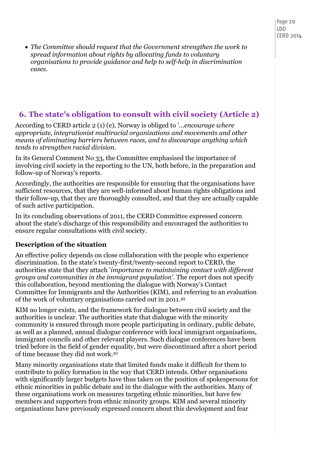*The Committee should request that the Government strengthen the work to spread information about rights by allocating funds to voluntary organisations to provide guidance and help to self-help in discrimination cases.* 

# **6. The state's obligation to consult with civil society (Article 2)**

According to CERD article 2 (1) (e), Norway is obliged to '*...encourage where appropriate, integrationist multiracial organizations and movements and other means of eliminating barriers between races, and to discourage anything which tends to strengthen racial division.*

In its General Comment No 33, the Committee emphasised the importance of involving civil society in the reporting to the UN, both before, in the preparation and follow-up of Norway's reports.

Accordingly, the authorities are responsible for ensuring that the organisations have sufficient resources, that they are well-informed about human rights obligations and their follow-up, that they are thoroughly consulted, and that they are actually capable of such active participation.

In its concluding observations of 2011, the CERD Committee expressed concern about the state's discharge of this responsibility and encouraged the authorities to ensure regular consultations with civil society.

## **Description of the situation**

An effective policy depends on close collaboration with the people who experience discrimination. In the state's twenty-first/twenty-second report to CERD, the authorities state that they attach '*importance to maintaining contact with different groups and communities in the immigrant population'*. The report does not specify this collaboration, beyond mentioning the dialogue with Norway's Contact Committee for Immigrants and the Authorities (KIM), and referring to an evaluation of the work of voluntary organisations carried out in 2011.49

KIM no longer exists, and the framework for dialogue between civil society and the authorities is unclear. The authorities state that dialogue with the minority community is ensured through more people participating in ordinary, public debate, as well as a planned, annual dialogue conference with local immigrant organisations, immigrant councils and other relevant players. Such dialogue conferences have been tried before in the field of gender equality, but were discontinued after a short period of time because they did not work.50

Many minority organisations state that limited funds make it difficult for them to contribute to policy formation in the way that CERD intends. Other organisations with significantly larger budgets have thus taken on the position of spokespersons for ethnic minorities in public debate and in the dialogue with the authorities. Many of these organisations work on measures targeting ethnic minorities, but have few members and supporters from ethnic minority groups. KIM and several minority organisations have previously expressed concern about this development and fear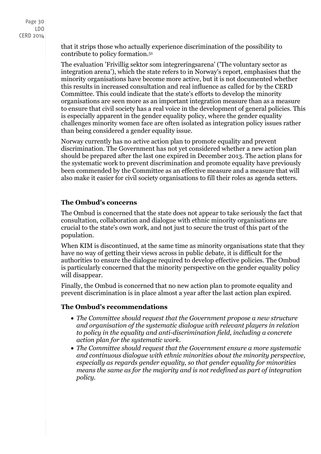Page 30 LDO CERD 2014

> that it strips those who actually experience discrimination of the possibility to contribute to policy formation.51

The evaluation 'Frivillig sektor som integreringsarena' ('The voluntary sector as integration arena'), which the state refers to in Norway's report, emphasises that the minority organisations have become more active, but it is not documented whether this results in increased consultation and real influence as called for by the CERD Committee. This could indicate that the state's efforts to develop the minority organisations are seen more as an important integration measure than as a measure to ensure that civil society has a real voice in the development of general policies. This is especially apparent in the gender equality policy, where the gender equality challenges minority women face are often isolated as integration policy issues rather than being considered a gender equality issue.

Norway currently has no active action plan to promote equality and prevent discrimination. The Government has not yet considered whether a new action plan should be prepared after the last one expired in December 2013. The action plans for the systematic work to prevent discrimination and promote equality have previously been commended by the Committee as an effective measure and a measure that will also make it easier for civil society organisations to fill their roles as agenda setters.

#### **The Ombud's concerns**

The Ombud is concerned that the state does not appear to take seriously the fact that consultation, collaboration and dialogue with ethnic minority organisations are crucial to the state's own work, and not just to secure the trust of this part of the population.

When KIM is discontinued, at the same time as minority organisations state that they have no way of getting their views across in public debate, it is difficult for the authorities to ensure the dialogue required to develop effective policies. The Ombud is particularly concerned that the minority perspective on the gender equality policy will disappear.

Finally, the Ombud is concerned that no new action plan to promote equality and prevent discrimination is in place almost a year after the last action plan expired.

#### **The Ombud's recommendations**

- *The Committee should request that the Government propose a new structure and organisation of the systematic dialogue with relevant players in relation to policy in the equality and anti-discrimination field, including a concrete action plan for the systematic work.*
- *The Committee should request that the Government ensure a more systematic and continuous dialogue with ethnic minorities about the minority perspective, especially as regards gender equality, so that gender equality for minorities means the same as for the majority and is not redefined as part of integration policy.*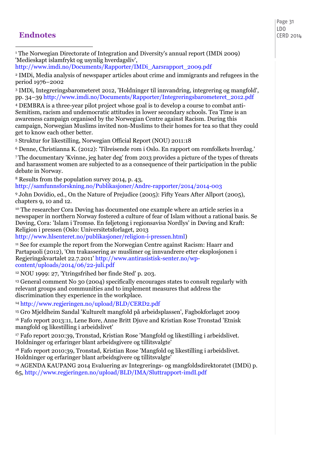# **Endnotes**

 $\overline{a}$ 1 The Norwegian Directorate of Integration and Diversity's annual report (IMDi 2009) 'Medieskapt islamfrykt og usynlig hverdagsliv',

http://www.imdi.no/Documents/Rapporter/IMDi\_Aarsrapport\_2009.pdf

2 IMDi, Media analysis of newspaper articles about crime and immigrants and refugees in the period 1976–2002

3 IMDi, Integreringsbarometeret 2012, 'Holdninger til innvandring, integrering og mangfold', pp. 34–39 http://www.imdi.no/Documents/Rapporter/Integreringsbarometeret\_2012.pdf

4 DEMBRA is a three-year pilot project whose goal is to develop a course to combat anti-Semitism, racism and undemocratic attitudes in lower secondary schools. Tea Time is an awareness campaign organised by the Norwegian Centre against Racism. During this campaign, Norwegian Muslims invited non-Muslims to their homes for tea so that they could get to know each other better.

5 Struktur for likestilling, Norwegian Official Report (NOU) 2011:18

6 Denne, Christianna K. (2012): 'Tilreisende rom i Oslo. En rapport om romfolkets hverdag.'

7 The documentary 'Kvinne, jeg hater deg' from 2013 provides a picture of the types of threats and harassment women are subjected to as a consequence of their participation in the public debate in Norway.

8 Results from the population survey 2014, p. 43, http://samfunnsforskning.no/Publikasjoner/Andre-rapporter/2014/2014-003

9 John Dovidio, ed., On the Nature of Prejudice (2005): Fifty Years After Allport (2005), chapters 9, 10 and 12.

10 The researcher Cora Døving has documented one example where an article series in a newspaper in northern Norway fostered a culture of fear of Islam without a rational basis. Se Døving, Cora: 'Islam i Tromsø. En føljetong i regionsavisa Nordlys' in Døving and Kraft: Religion i pressen (Oslo: Universitetsforlaget, 2013

http://www.hlsenteret.no/publikasjoner/religion-i-pressen.html)

<sup>11</sup> See for example the report from the Norwegian Centre against Racism: Haarr and Partapuoli (2012), 'Om trakassering av muslimer og innvandrere etter eksplosjonen i Regjeringskvartalet 22.7.2011' http://www.antirasistisk-senter.no/wpcontent/uploads/2014/06/22-juli.pdf

12 NOU 1999: 27, 'Ytringsfrihed bør finde Sted' p. 203.

<sup>13</sup> General comment No 30 (2004) specifically encourages states to consult regularly with relevant groups and communities and to implement measures that address the discrimination they experience in the workplace.

<sup>14</sup> http://www.regjeringen.no/upload/BLD/CERD2.pdf

15 Gro Mjeldheim Sandal 'Kulturelt mangfold på arbeidsplassen', Fagbokforlaget 2009

16 Fafo report 2013:11, Lene Bore, Anne Britt Djuve and Kristian Rose Tronstad 'Etnisk mangfold og likestilling i arbeidslivet'

17 Fafo report 2010:39, Tronstad, Kristian Rose 'Mangfold og likestilling i arbeidslivet. Holdninger og erfaringer blant arbeidsgivere og tillitsvalgte'

18 Fafo report 2010:39, Tronstad, Kristian Rose 'Mangfold og likestilling i arbeidslivet. Holdninger og erfaringer blant arbeidsgivere og tillitsvalgte'

19 AGENDA KAUPANG 2014 Evaluering av Integrerings- og mangfoldsdirektoratet (IMDi) p. 65, http://www.regjeringen.no/upload/BLD/IMA/Sluttrapport-imdI.pdf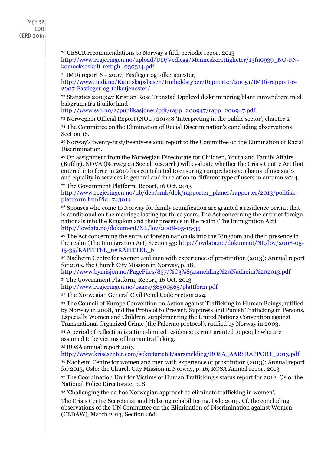Page 32 LDO CERD 2014

20 CESCR recommendations to Norway's fifth periodic report 2013

http://www.regjeringen.no/upload/UD/Vedlegg/Menneskerettigheter/13fn0939\_NO-FNkomoeksoskult-rettigh\_030314.pdf

 $21$  IMDi report 6 – 2007, Fastleger og tolketjenester,

http://www.imdi.no/Kunnskapsbasen/Innholdstyper/Rapporter/20051/IMDi-rapport-6- 2007-Fastleger-og-tolketjenester/

22 Statistics 2009:47 Kristian Rose Tronstad Opplevd diskriminering blant innvandrere med bakgrunn fra ti ulike land

http://www.ssb.no/a/publikasjoner/pdf/rapp\_200947/rapp\_200947.pdf

23 Norwegian Official Report (NOU) 2014:8 'Interpreting in the public sector', chapter 2

24 The Committee on the Elimination of Racial Discrimination's concluding observations Section 16.

25 Norway's twenty-first/twenty-second report to the Committee on the Elimination of Racial Discrimination.

26 On assignment from the Norwegian Directorate for Children, Youth and Family Affairs (Bufdir), NOVA (Norwegian Social Research) will evaluate whether the Crisis Centre Act that entered into force in 2010 has contributed to ensuring comprehensive chains of measures and equality in services in general and in relation to different type of users in autumn 2014.

27 The Government Platform, Report, 16 Oct. 2013 http://www.regjeringen.no/nb/dep/smk/dok/rapporter\_planer/rapporter/2013/politiskplattform.html?id=743014

28 Spouses who come to Norway for family reunification are granted a residence permit that is conditional on the marriage lasting for three years. The Act concerning the entry of foreign nationals into the Kingdom and their presence in the realm (The Immigration Act) http://lovdata.no/dokument/NL/lov/2008-05-15-35

29 The Act concerning the entry of foreign nationals into the Kingdom and their presence in the realm (The Immigration Act) Section 53: http://lovdata.no/dokument/NL/lov/2008-05- 15-35/KAPITTEL\_6#KAPITTEL\_6

30 Nadheim Centre for women and men with experience of prostitution (2013): Annual report for 2013, the Church City Mission in Norway, p. 18,

http://www.bymisjon.no/PageFiles/857/%C3%85rsmelding%20Nadheim%202013.pdf

<sup>31</sup> The Government Platform, Report, 16 Oct. 2013 http://www.regjeringen.no/pages/38500565/plattform.pdf

32 The Norwegian General Civil Penal Code Section 224.

33 The Council of Europe Convention on Action against Trafficking in Human Beings, ratified by Norway in 2008, and the Protocol to Prevent, Suppress and Punish Trafficking in Persons, Especially Women and Children, supplementing the United Nations Convention against Transnational Organized Crime (the Palermo protocol), ratified by Norway in 2003.

34 A period of reflection is a time-limited residence permit granted to people who are assumed to be victims of human trafficking.

35 ROSA annual report 2013

http://www.krisesenter.com/sekretariatet/aarsmelding/ROSA\_AARSRAPPORT\_2013.pdf

36 Nadheim Centre for women and men with experience of prostitution (2013): Annual report for 2013, Oslo: the Church City Mission in Norway, p. 16, ROSA Annual report 2013

37 The Coordination Unit for Victims of Human Trafficking's status report for 2012, Oslo: the National Police Directorate, p. 8

38 'Challenging the ad hoc Norwegian approach to eliminate trafficking in women'.

The Crisis Centre Secretariat and Helse og rehabilitering, Oslo 2009. Cf. the concluding observations of the UN Committee on the Elimination of Discrimination against Women (CEDAW), March 2013, Section 26d.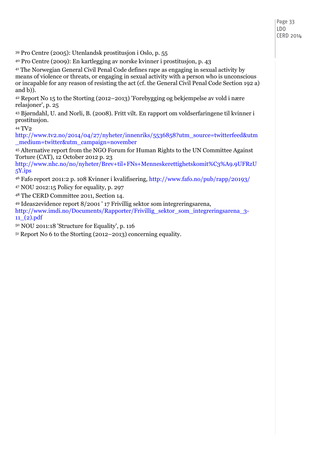Page 33 LDO CERD 2014

39 Pro Centre (2005): Utenlandsk prostitusjon i Oslo, p. 55

40 Pro Centre (2009): En kartlegging av norske kvinner i prostitusjon, p. 43

41 The Norwegian General Civil Penal Code defines rape as engaging in sexual activity by means of violence or threats, or engaging in sexual activity with a person who is unconscious or incapable for any reason of resisting the act (cf. the General Civil Penal Code Section 192 a ) and b)).

42 Report No 15 to the Storting (2012–2013) 'Forebygging og bekjempelse av vold i nære relasjoner', p. 25

43 Bjørndahl, U. and Norli, B. (2008). Fritt vilt. En rapport om voldserfaringene til kvinner i prostitusjon.

44 TV<sub>2</sub>

http://www.tv2.no/2014/04/27/nyheter/innenriks/5536858?utm\_source=twitterfeed&utm \_medium=twitter&utm\_campaign=november

45 Alternative report from the NGO Forum for Human Rights to the UN Committee Against Torture (CAT), 12 October 2012 p. 23

http://www.nhc.no/no/nyheter/Brev+til+FNs+Menneskerettighetskomit%C3%A9.9UFRzU 5Y.ips

46 Fafo report 2011:2 p. 108 Kvinner i kvalifisering, http://www.fafo.no/pub/rapp/20193/

47 NOU 2012:15 Policy for equality, p. 297

48 The CERD Committee 2011, Section 14.

49 Ideas2evidence report 8/2001 ' 17 Frivillig sektor som integreringsarena, http://www.imdi.no/Documents/Rapporter/Frivillig\_sektor\_som\_integreringsarena\_3-11\_(2).pdf

50 NOU 2011:18 'Structure for Equality', p. 116

51 Report No 6 to the Storting (2012–2013) concerning equality.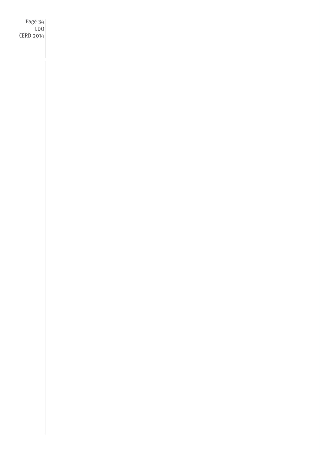Page 34 LDO CERD 2014